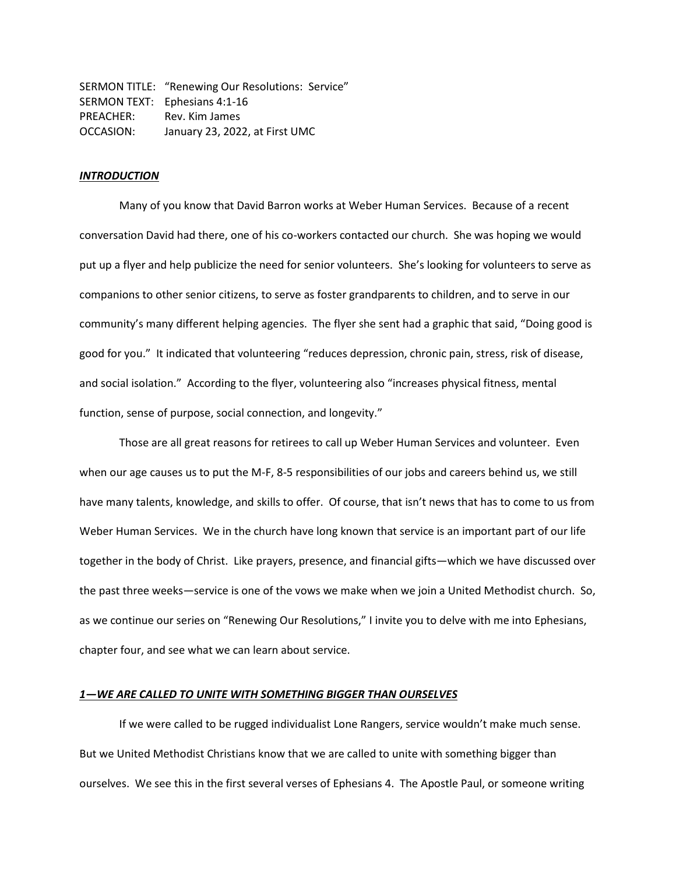SERMON TITLE: "Renewing Our Resolutions: Service" SERMON TEXT: Ephesians 4:1-16 PREACHER: Rev. Kim James OCCASION: January 23, 2022, at First UMC

## *INTRODUCTION*

Many of you know that David Barron works at Weber Human Services. Because of a recent conversation David had there, one of his co-workers contacted our church. She was hoping we would put up a flyer and help publicize the need for senior volunteers. She's looking for volunteers to serve as companions to other senior citizens, to serve as foster grandparents to children, and to serve in our community's many different helping agencies. The flyer she sent had a graphic that said, "Doing good is good for you." It indicated that volunteering "reduces depression, chronic pain, stress, risk of disease, and social isolation." According to the flyer, volunteering also "increases physical fitness, mental function, sense of purpose, social connection, and longevity."

Those are all great reasons for retirees to call up Weber Human Services and volunteer. Even when our age causes us to put the M-F, 8-5 responsibilities of our jobs and careers behind us, we still have many talents, knowledge, and skills to offer. Of course, that isn't news that has to come to us from Weber Human Services. We in the church have long known that service is an important part of our life together in the body of Christ. Like prayers, presence, and financial gifts—which we have discussed over the past three weeks—service is one of the vows we make when we join a United Methodist church. So, as we continue our series on "Renewing Our Resolutions," I invite you to delve with me into Ephesians, chapter four, and see what we can learn about service.

# *1—WE ARE CALLED TO UNITE WITH SOMETHING BIGGER THAN OURSELVES*

If we were called to be rugged individualist Lone Rangers, service wouldn't make much sense. But we United Methodist Christians know that we are called to unite with something bigger than ourselves. We see this in the first several verses of Ephesians 4. The Apostle Paul, or someone writing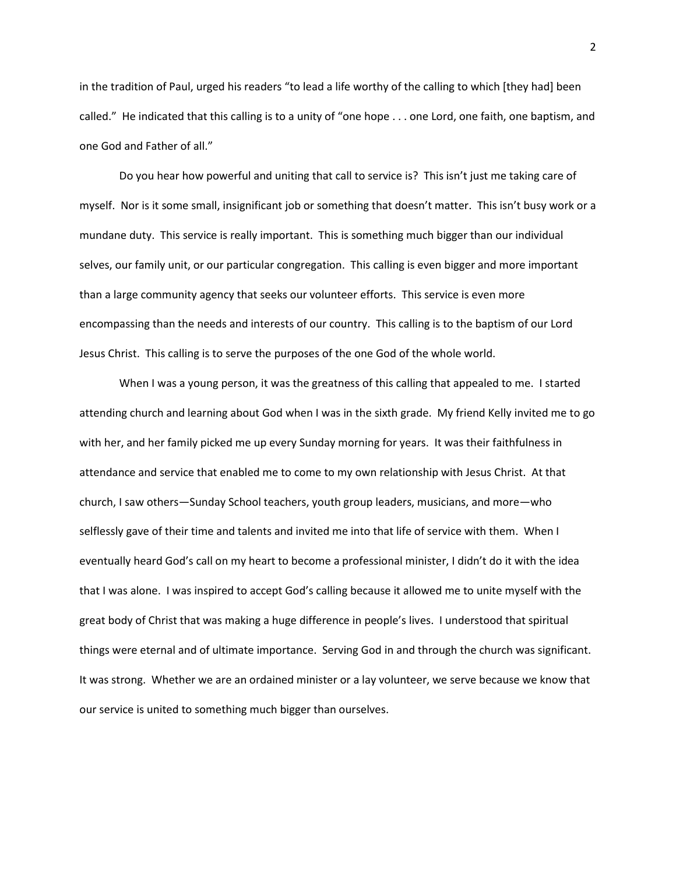in the tradition of Paul, urged his readers "to lead a life worthy of the calling to which [they had] been called." He indicated that this calling is to a unity of "one hope . . . one Lord, one faith, one baptism, and one God and Father of all."

Do you hear how powerful and uniting that call to service is? This isn't just me taking care of myself. Nor is it some small, insignificant job or something that doesn't matter. This isn't busy work or a mundane duty. This service is really important. This is something much bigger than our individual selves, our family unit, or our particular congregation. This calling is even bigger and more important than a large community agency that seeks our volunteer efforts. This service is even more encompassing than the needs and interests of our country. This calling is to the baptism of our Lord Jesus Christ. This calling is to serve the purposes of the one God of the whole world.

When I was a young person, it was the greatness of this calling that appealed to me. I started attending church and learning about God when I was in the sixth grade. My friend Kelly invited me to go with her, and her family picked me up every Sunday morning for years. It was their faithfulness in attendance and service that enabled me to come to my own relationship with Jesus Christ. At that church, I saw others—Sunday School teachers, youth group leaders, musicians, and more—who selflessly gave of their time and talents and invited me into that life of service with them. When I eventually heard God's call on my heart to become a professional minister, I didn't do it with the idea that I was alone. I was inspired to accept God's calling because it allowed me to unite myself with the great body of Christ that was making a huge difference in people's lives. I understood that spiritual things were eternal and of ultimate importance. Serving God in and through the church was significant. It was strong. Whether we are an ordained minister or a lay volunteer, we serve because we know that our service is united to something much bigger than ourselves.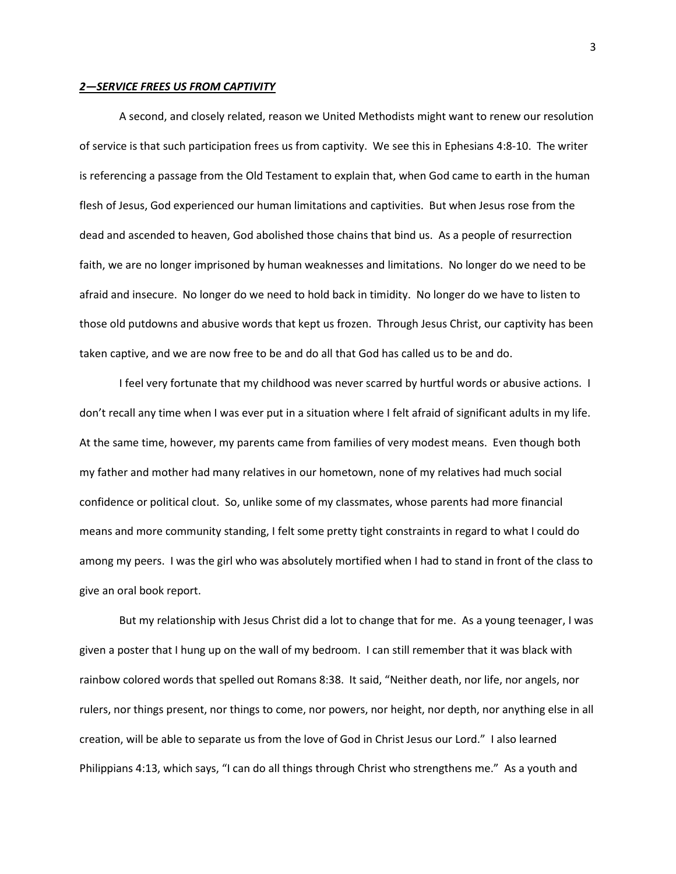#### *2—SERVICE FREES US FROM CAPTIVITY*

A second, and closely related, reason we United Methodists might want to renew our resolution of service is that such participation frees us from captivity. We see this in Ephesians 4:8-10. The writer is referencing a passage from the Old Testament to explain that, when God came to earth in the human flesh of Jesus, God experienced our human limitations and captivities. But when Jesus rose from the dead and ascended to heaven, God abolished those chains that bind us. As a people of resurrection faith, we are no longer imprisoned by human weaknesses and limitations. No longer do we need to be afraid and insecure. No longer do we need to hold back in timidity. No longer do we have to listen to those old putdowns and abusive words that kept us frozen. Through Jesus Christ, our captivity has been taken captive, and we are now free to be and do all that God has called us to be and do.

I feel very fortunate that my childhood was never scarred by hurtful words or abusive actions. I don't recall any time when I was ever put in a situation where I felt afraid of significant adults in my life. At the same time, however, my parents came from families of very modest means. Even though both my father and mother had many relatives in our hometown, none of my relatives had much social confidence or political clout. So, unlike some of my classmates, whose parents had more financial means and more community standing, I felt some pretty tight constraints in regard to what I could do among my peers. I was the girl who was absolutely mortified when I had to stand in front of the class to give an oral book report.

But my relationship with Jesus Christ did a lot to change that for me. As a young teenager, I was given a poster that I hung up on the wall of my bedroom. I can still remember that it was black with rainbow colored words that spelled out Romans 8:38. It said, "Neither death, nor life, nor angels, nor rulers, nor things present, nor things to come, nor powers, nor height, nor depth, nor anything else in all creation, will be able to separate us from the love of God in Christ Jesus our Lord." I also learned Philippians 4:13, which says, "I can do all things through Christ who strengthens me." As a youth and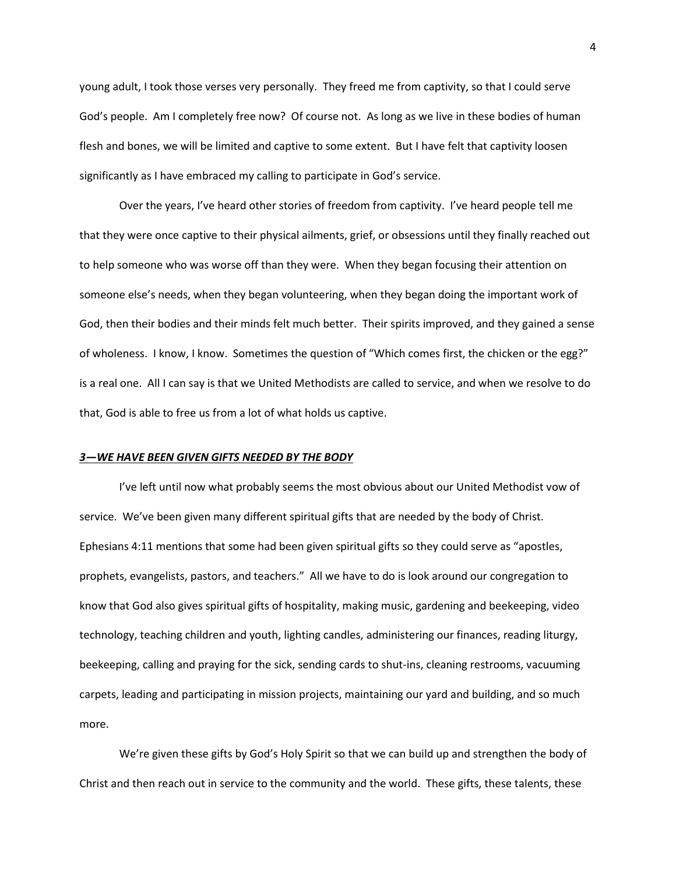young adult, I took those verses very personally. They freed me from captivity, so that I could serve God's people. Am I completely free now? Of course not. As long as we live in these bodies of human flesh and bones, we will be limited and captive to some extent. But I have felt that captivity loosen significantly as I have embraced my calling to participate in God's service.

Over the years, I've heard other stories of freedom from captivity. I've heard people tell me that they were once captive to their physical ailments, grief, or obsessions until they finally reached out to help someone who was worse off than they were. When they began focusing their attention on someone else's needs, when they began volunteering, when they began doing the important work of God, then their bodies and their minds felt much better. Their spirits improved, and they gained a sense of wholeness. I know, I know. Sometimes the question of "Which comes first, the chicken or the egg?" is a real one. All I can say is that we United Methodists are called to service, and when we resolve to do that, God is able to free us from a lot of what holds us captive.

#### *3—WE HAVE BEEN GIVEN GIFTS NEEDED BY THE BODY*

I've left until now what probably seems the most obvious about our United Methodist vow of service. We've been given many different spiritual gifts that are needed by the body of Christ. Ephesians 4:11 mentions that some had been given spiritual gifts so they could serve as "apostles, prophets, evangelists, pastors, and teachers." All we have to do is look around our congregation to know that God also gives spiritual gifts of hospitality, making music, gardening and beekeeping, video technology, teaching children and youth, lighting candles, administering our finances, reading liturgy, beekeeping, calling and praying for the sick, sending cards to shut-ins, cleaning restrooms, vacuuming carpets, leading and participating in mission projects, maintaining our yard and building, and so much more.

We're given these gifts by God's Holy Spirit so that we can build up and strengthen the body of Christ and then reach out in service to the community and the world. These gifts, these talents, these